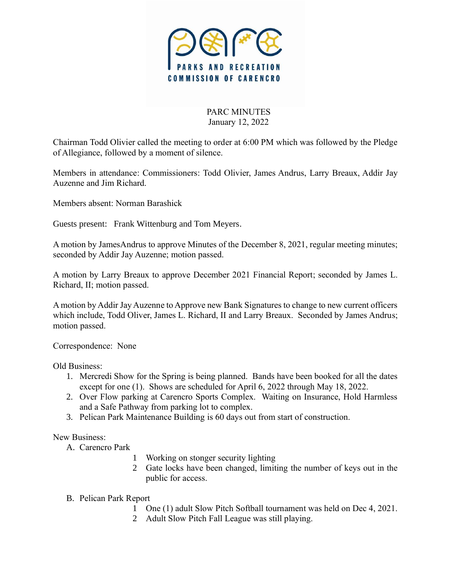

PARC MINUTES January 12, 2022

Chairman Todd Olivier called the meeting to order at 6:00 PM which was followed by the Pledge of Allegiance, followed by a moment of silence.

Members in attendance: Commissioners: Todd Olivier, James Andrus, Larry Breaux, Addir Jay Auzenne and Jim Richard.

Members absent: Norman Barashick

Guests present: Frank Wittenburg and Tom Meyers.

A motion by JamesAndrus to approve Minutes of the December 8, 2021, regular meeting minutes; seconded by Addir Jay Auzenne; motion passed.

A motion by Larry Breaux to approve December 2021 Financial Report; seconded by James L. Richard, II; motion passed.

A motion by Addir Jay Auzenne to Approve new Bank Signatures to change to new current officers which include, Todd Oliver, James L. Richard, II and Larry Breaux. Seconded by James Andrus; motion passed.

Correspondence: None

Old Business:

- 1. Mercredi Show for the Spring is being planned. Bands have been booked for all the dates except for one (1). Shows are scheduled for April 6, 2022 through May 18, 2022.
- 2. Over Flow parking at Carencro Sports Complex. Waiting on Insurance, Hold Harmless and a Safe Pathway from parking lot to complex.
- 3. Pelican Park Maintenance Building is 60 days out from start of construction.

New Business:

- A. Carencro Park
	- 1 Working on stonger security lighting
	- 2 Gate locks have been changed, limiting the number of keys out in the public for access.
- B. Pelican Park Report
	- 1 One (1) adult Slow Pitch Softball tournament was held on Dec 4, 2021.
	- 2 Adult Slow Pitch Fall League was still playing.